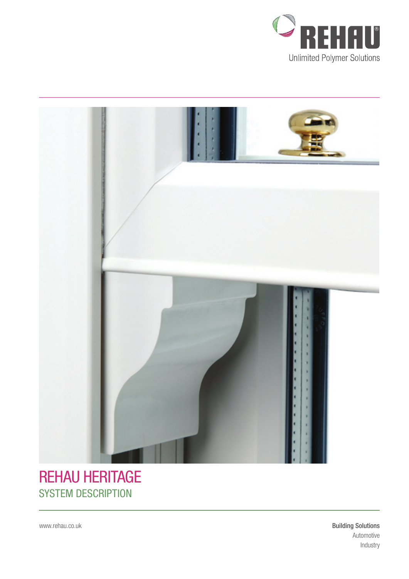



## **REHAU HERITAGE SYSTEM DESCRIPTION**

www.rehau.co.uk

**Building Solutions** Automotive Industry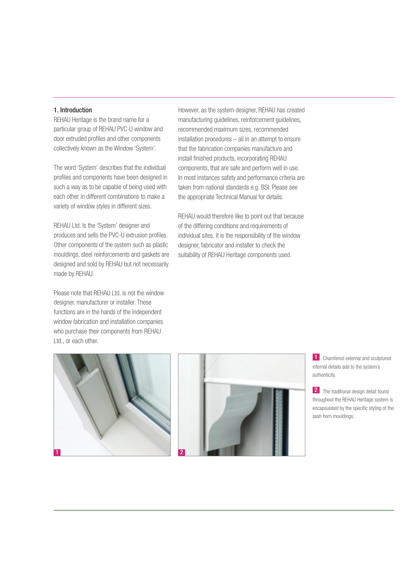#### 1. Introduction

REHAU Heritage is the brand name for a particular group of REHAU PVC-U window and door extruded profiles and other components collectively known as the Window 'System'.

The word 'System' describes that the individual profiles and components have been designed in such a way as to be capable of being used with each other in different combinations to make a variety of window styles in different sizes.

REHAU Ltd. Is the 'System' designer and produces and sells the PVC-U extrusion profiles. Other components of the system such as plastic mouldings, steel reinforcements and gaskets are designed and sold by REHAU but not necessarily made by REHAU.

Please note that REHAU Ltd. is not the window designer, manufacturer or installer. These functions are in the hands of the independent window fabrication and installation companies who purchase their components from REHAU Ltd., or each other.

However, as the system designer, REHAU has created manufacturing guidelines, reinforcement guidelines, recommended maximum sizes, recommended installation procedures – all in an attempt to ensure that the fabrication companies manufacture and install finished products, incorporating REHAU components, that are safe and perform well in use. In most instances safety and performance criteria are taken from national standards e.g. BSI. Please see the appropriate Technical Manual for details.

REHAU would therefore like to point out that because of the differing conditions and requirements of individual sites, it is the responsibility of the window designer, fabricator and installer to check the suitability of REHAU Heritage components used.





1 Chamfered external and sculptured internal details add to the system's authenticity.

2 The traditional design detail found throughout the REHAU Heritage system is encapsulated by the specific styling of the sash horn mouldings.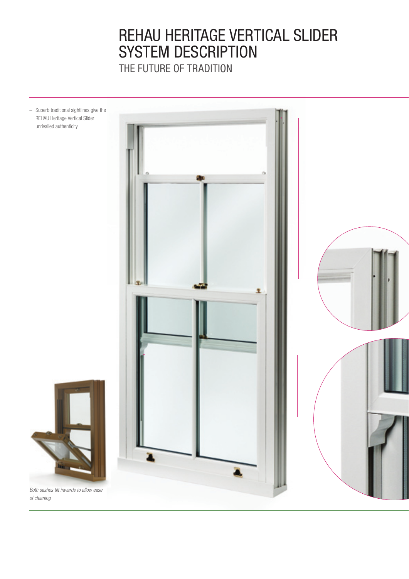# REHAU Heritage Vertical Slider SYSTEM DESCRIPTION

THE FUTURE OF TRADITION

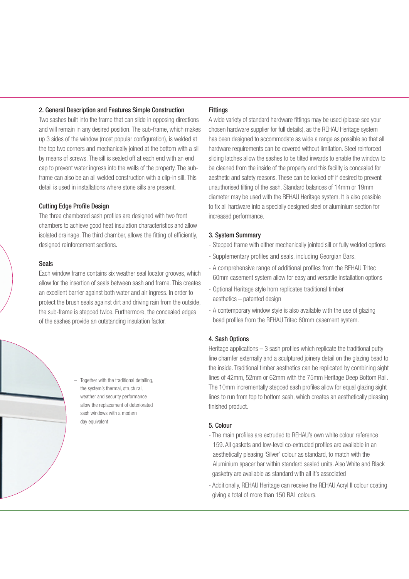#### 2. General Description and Features Simple Construction

Two sashes built into the frame that can slide in opposing directions and will remain in any desired position. The sub-frame, which makes up 3 sides of the window (most popular configuration), is welded at the top two corners and mechanically joined at the bottom with a sill by means of screws. The sill is sealed off at each end with an end cap to prevent water ingress into the walls of the property. The subframe can also be an all welded construction with a clip-in sill. This detail is used in installations where stone sills are present.

#### Cutting Edge Profile Design

The three chambered sash profiles are designed with two front chambers to achieve good heat insulation characteristics and allow isolated drainage. The third chamber, allows the fitting of efficiently, designed reinforcement sections.

#### Seals

Each window frame contains six weather seal locator grooves, which allow for the insertion of seals between sash and frame. This creates an excellent barrier against both water and air ingress. In order to protect the brush seals against dirt and driving rain from the outside, the sub-frame is stepped twice. Furthermore, the concealed edges of the sashes provide an outstanding insulation factor.



– Together with the traditional detailing, the system's thermal, structural, weather and security performance allow the replacement of deteriorated sash windows with a modern day equivalent.

#### **Fittings**

A wide variety of standard hardware fittings may be used (please see your chosen hardware supplier for full details), as the REHAU Heritage system has been designed to accommodate as wide a range as possible so that all hardware requirements can be covered without limitation. Steel reinforced sliding latches allow the sashes to be tilted inwards to enable the window to be cleaned from the inside of the property and this facility is concealed for aesthetic and safety reasons. These can be locked off if desired to prevent unauthorised tilting of the sash. Standard balances of 14mm or 19mm diameter may be used with the REHAU Heritage system. It is also possible to fix all hardware into a specially designed steel or aluminium section for increased performance.

#### 3. System Summary

- Stepped frame with either mechanically jointed sill or fully welded options
- Supplementary profiles and seals, including Georgian Bars.
- A comprehensive range of additional profiles from the REHAU Tritec 60mm casement system allow for easy and versatile installation options
- Optional Heritage style horn replicates traditional timber aesthetics – patented design
- A contemporary window style is also available with the use of glazing bead profiles from the REHAU Tritec 60mm casement system.

#### 4. Sash Options

Heritage applications – 3 sash profiles which replicate the traditional putty line chamfer externally and a sculptured joinery detail on the glazing bead to the inside. Traditional timber aesthetics can be replicated by combining sight lines of 42mm, 52mm or 62mm with the 75mm Heritage Deep Bottom Rail. The 10mm incrementally stepped sash profiles allow for equal glazing sight lines to run from top to bottom sash, which creates an aesthetically pleasing finished product.

#### 5. Colour

- The main profiles are extruded to REHAU's own white colour reference 159. All gaskets and low-level co-extruded profiles are available in an aesthetically pleasing 'Silver' colour as standard, to match with the Aluminium spacer bar within standard sealed units. Also White and Black gasketry are available as standard with all it's associated
- Additionally, REHAU Heritage can receive the REHAU Acryl II colour coating giving a total of more than 150 RAL colours.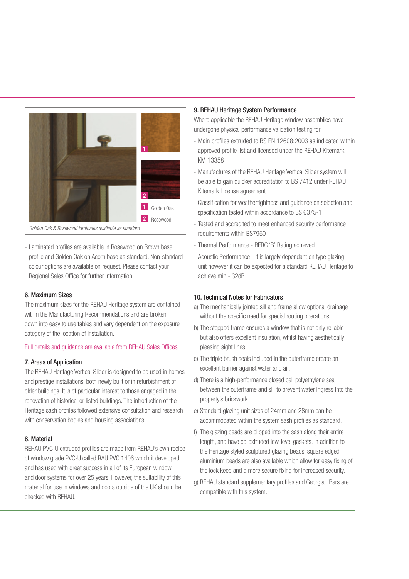

- Laminated profiles are available in Rosewood on Brown base profile and Golden Oak on Acorn base as standard. Non-standard colour options are available on request. Please contact your Regional Sales Office for further information.

#### 6. Maximum Sizes

The maximum sizes for the REHAU Heritage system are contained within the Manufacturing Recommendations and are broken down into easy to use tables and vary dependent on the exposure category of the location of installation.

#### Full details and guidance are available from REHAU Sales Offices.

#### 7. Areas of Application

The REHAU Heritage Vertical Slider is designed to be used in homes and prestige installations, both newly built or in refurbishment of older buildings. It is of particular interest to those engaged in the renovation of historical or listed buildings. The introduction of the Heritage sash profiles followed extensive consultation and research with conservation bodies and housing associations.

#### 8. Material

REHAU PVC-U extruded profiles are made from REHAU's own recipe of window grade PVC-U called RAU PVC 1406 which it developed and has used with great success in all of its European window and door systems for over 25 years. However, the suitability of this material for use in windows and doors outside of the UK should be checked with REHAU.

#### 9. REHAU Heritage System Performance

Where applicable the REHAU Heritage window assemblies have undergone physical performance validation testing for:

- Main profiles extruded to BS EN 12608:2003 as indicated within approved profile list and licensed under the REHAU Kitemark KM 13358
- Manufactures of the REHAU Heritage Vertical Slider system will be able to gain quicker accreditation to BS 7412 under REHAU Kitemark License agreement
- Classification for weathertightness and guidance on selection and specification tested within accordance to BS 6375-1
- Tested and accredited to meet enhanced security performance requirements within BS7950
- Thermal Performance BFRC 'B' Rating achieved
- Acoustic Performance it is largely dependant on type glazing unit however it can be expected for a standard REHAU Heritage to achieve min - 32dB.

#### 10. Technical Notes for Fabricators

- a) The mechanically jointed sill and frame allow optional drainage without the specific need for special routing operations.
- b) The stepped frame ensures a window that is not only reliable but also offers excellent insulation, whilst having aesthetically pleasing sight lines.
- c) The triple brush seals included in the outerframe create an excellent barrier against water and air.
- d) There is a high-performance closed cell polyethylene seal between the outerframe and sill to prevent water ingress into the property's brickwork.
- e) Standard glazing unit sizes of 24mm and 28mm can be accommodated within the system sash profiles as standard.
- f) The glazing beads are clipped into the sash along their entire length, and have co-extruded low-level gaskets. In addition to the Heritage styled sculptured glazing beads, square edged aluminium beads are also available which allow for easy fixing of the lock keep and a more secure fixing for increased security.
- g) REHAU standard supplementary profiles and Georgian Bars are compatible with this system.